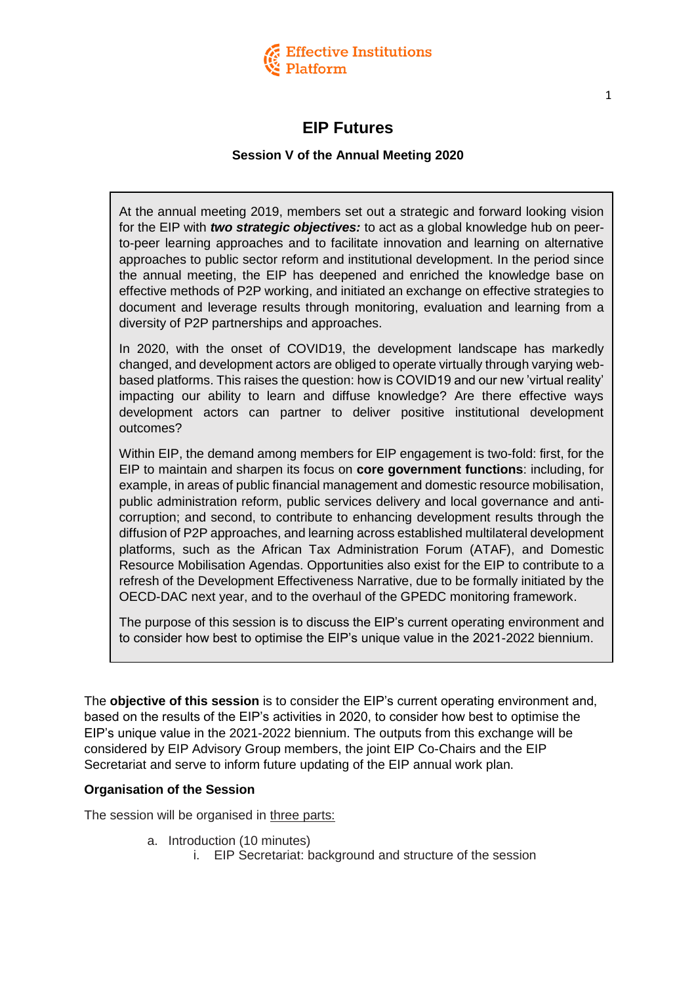

# **EIP Futures**

### **Session V of the Annual Meeting 2020**

At the annual meeting 2019, members set out a strategic and forward looking vision for the EIP with *two strategic objectives:* to act as a global knowledge hub on peerto-peer learning approaches and to facilitate innovation and learning on alternative approaches to public sector reform and institutional development. In the period since the annual meeting, the EIP has deepened and enriched the knowledge base on effective methods of P2P working, and initiated an exchange on effective strategies to document and leverage results through monitoring, evaluation and learning from a diversity of P2P partnerships and approaches.

In 2020, with the onset of COVID19, the development landscape has markedly changed, and development actors are obliged to operate virtually through varying webbased platforms. This raises the question: how is COVID19 and our new 'virtual reality' impacting our ability to learn and diffuse knowledge? Are there effective ways development actors can partner to deliver positive institutional development outcomes?

Within EIP, the demand among members for EIP engagement is two-fold: first, for the EIP to maintain and sharpen its focus on **core government functions**: including, for example, in areas of public financial management and domestic resource mobilisation, public administration reform, public services delivery and local governance and anticorruption; and second, to contribute to enhancing development results through the diffusion of P2P approaches, and learning across established multilateral development platforms, such as the African Tax Administration Forum (ATAF), and Domestic Resource Mobilisation Agendas. Opportunities also exist for the EIP to contribute to a refresh of the Development Effectiveness Narrative, due to be formally initiated by the OECD-DAC next year, and to the overhaul of the GPEDC monitoring framework.

The purpose of this session is to discuss the EIP's current operating environment and to consider how best to optimise the EIP's unique value in the 2021-2022 biennium.

The **objective of this session** is to consider the EIP's current operating environment and, based on the results of the EIP's activities in 2020, to consider how best to optimise the EIP's unique value in the 2021-2022 biennium. The outputs from this exchange will be considered by EIP Advisory Group members, the joint EIP Co-Chairs and the EIP Secretariat and serve to inform future updating of the EIP annual work plan.

#### **Organisation of the Session**

The session will be organised in three parts:

- a. Introduction (10 minutes)
	- i. EIP Secretariat: background and structure of the session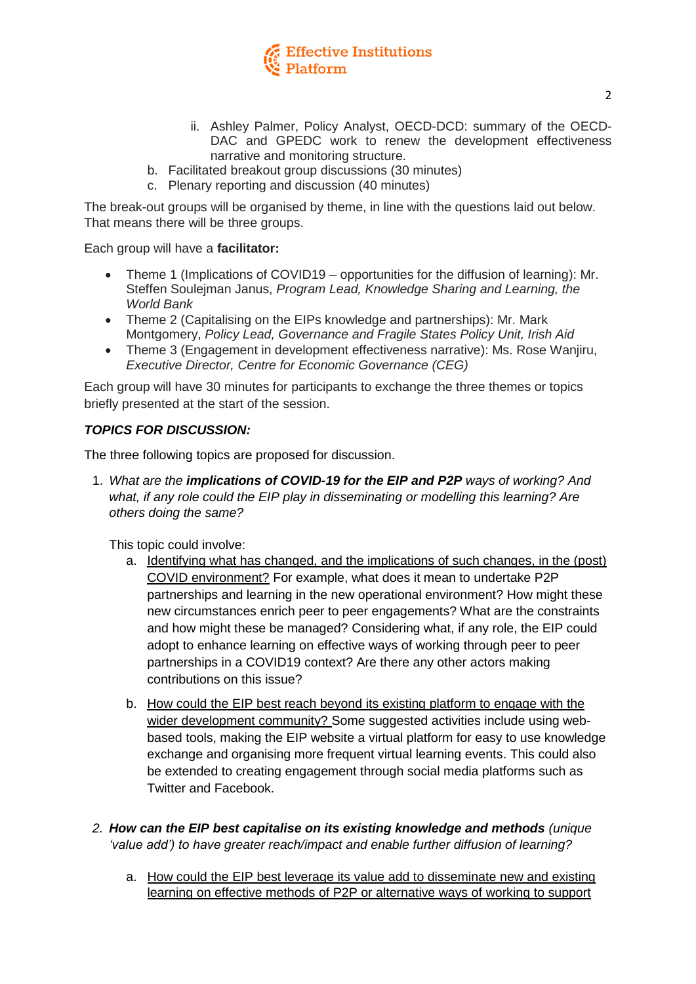

- ii. Ashley Palmer, Policy Analyst, OECD-DCD: summary of the OECD-DAC and GPEDC work to renew the development effectiveness narrative and monitoring structure.
- b. Facilitated breakout group discussions (30 minutes)
- c. Plenary reporting and discussion (40 minutes)

The break-out groups will be organised by theme, in line with the questions laid out below. That means there will be three groups.

Each group will have a **facilitator:**

- Theme 1 (Implications of COVID19 opportunities for the diffusion of learning): Mr. Steffen Soulejman Janus, *Program Lead, Knowledge Sharing and Learning, the World Bank*
- Theme 2 (Capitalising on the EIPs knowledge and partnerships): Mr. Mark Montgomery, *Policy Lead, Governance and Fragile States Policy Unit, Irish Aid*
- Theme 3 (Engagement in development effectiveness narrative): Ms. Rose Wanjiru, *Executive Director, Centre for Economic Governance (CEG)*

Each group will have 30 minutes for participants to exchange the three themes or topics briefly presented at the start of the session.

#### *TOPICS FOR DISCUSSION:*

The three following topics are proposed for discussion.

1. *What are the implications of COVID-19 for the EIP and P2P ways of working? And what, if any role could the EIP play in disseminating or modelling this learning? Are others doing the same?* 

This topic could involve:

- a. Identifying what has changed, and the implications of such changes, in the (post) COVID environment? For example, what does it mean to undertake P2P partnerships and learning in the new operational environment? How might these new circumstances enrich peer to peer engagements? What are the constraints and how might these be managed? Considering what, if any role, the EIP could adopt to enhance learning on effective ways of working through peer to peer partnerships in a COVID19 context? Are there any other actors making contributions on this issue?
- b. How could the EIP best reach beyond its existing platform to engage with the wider development community? Some suggested activities include using webbased tools, making the EIP website a virtual platform for easy to use knowledge exchange and organising more frequent virtual learning events. This could also be extended to creating engagement through social media platforms such as Twitter and Facebook.
- *2. How can the EIP best capitalise on its existing knowledge and methods (unique 'value add') to have greater reach/impact and enable further diffusion of learning?*
	- a. How could the EIP best leverage its value add to disseminate new and existing learning on effective methods of P2P or alternative ways of working to support